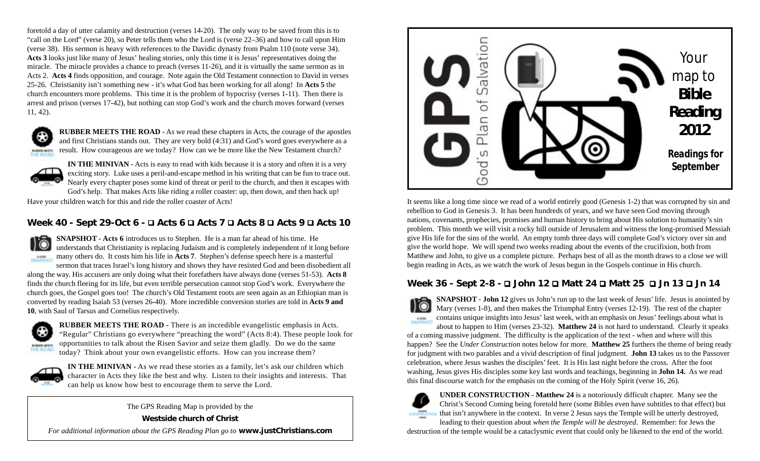foretold a day of utter calamity and destruction (verses 14-20). The only way to be saved from this is to "call on the Lord" (verse 20), so Peter tells them who the Lord is (verse 22–36) and how to call upon Him (verse 38). His sermon is heavy with references to the Davidic dynasty from Psalm 110 (note verse 34). Acts 3 looks just like many of Jesus' healing stories, only this time it is Jesus' representatives doing the miracle. The miracle provides a chance to preach (verses 11-26), and it is virtually the same sermon as in Acts 2. **Acts 4** finds opposition, and courage. Note again the Old Testament connection to David in verses 25-26. Christianity isn't something new - it's what God has been working for all along! In **Acts 5** the church encounters more problems. This time it is the problem of hypocrisy (verses 1-11). Then there is arrest and prison (verses 17-42), but nothing can stop God's work and the church moves forward (verses 11, 42).



**RUBBER MEETS THE ROAD -** As we read these chapters in Acts, the courage of the apostles and first Christians stands out. They are very bold (4:31) and God's word goes everywhere as a result. How courageous are we today? How can we be more like the New Testament church?



**IN THE MINIVAN -** Acts is easy to read with kids because it is a story and often it is a very exciting story. Luke uses a peril-and-escape method in his writing that can be fun to trace out. Nearly every chapter poses some kind of threat or peril to the church, and then it escapes with God's help. That makes Acts like riding a roller coaster: up, then down, and then back up!

Have your children watch for this and ride the roller coaster of Acts!

## **Week 40 - Sept 29-Oct 6 - Acts 6 Acts 7 Acts 8 Acts 9 Acts 10**

**SNAPSHOT - Acts 6** introduces us to Stephen. He is a man far ahead of his time. He understands that Christianity is replacing Judaism and is completely independent of it long before SHAPEHO many others do. It costs him his life in **Acts 7**. Stephen's defense speech here is a masterful

sermon that traces Israel's long history and shows they have resisted God and been disobedient all along the way. His accusers are only doing what their forefathers have always done (verses 51-53). **Acts 8** finds the church fleeing for its life, but even terrible persecution cannot stop God's work. Everywhere the church goes, the Gospel goes too! The church's Old Testament roots are seen again as an Ethiopian man is converted by reading Isaiah 53 (verses 26-40). More incredible conversion stories are told in **Acts 9 and 10**, with Saul of Tarsus and Cornelius respectively.



**RUBBER MEETS THE ROAD -** There is an incredible evangelistic emphasis in Acts. "Regular" Christians go everywhere "preaching the word" (Acts 8:4). These people look for opportunities to talk about the Risen Savior and seize them gladly. Do we do the same today? Think about your own evangelistic efforts. How can you increase them?



**IN THE MINIVAN -** As we read these stories as a family, let's ask our children which character in Acts they like the best and why. Listen to their insights and interests. That can help us know how best to encourage them to serve the Lord.

The GPS Reading Map is provided by the

**Westside church of Christ**

*For additional information about the GPS Reading Plan go to* **www.justChristians.com**



It seems like a long time since we read of a world entirely good (Genesis 1-2) that was corrupted by sin and rebellion to God in Genesis 3. It has been hundreds of years, and we have seen God moving through nations, covenants, prophecies, promises and human history to bring about His solution to humanity's sin problem. This month we will visit a rocky hill outside of Jerusalem and witness the long-promised Messiah give His life for the sins of the world. An empty tomb three days will complete God's victory over sin and give the world hope. We will spend two weeks reading about the events of the crucifixion, both from Matthew and John, to give us a complete picture. Perhaps best of all as the month draws to a close we will begin reading in Acts, as we watch the work of Jesus begun in the Gospels continue in His church.

### **Week 36 - Sept 2-8 - John 12 Matt 24 Matt 25 Jn 13 Jn 14**

**SNAPSHOT** - **John 12** gives us John's run up to the last week of Jesus' life. Jesus is anointed by Mary (verses 1-8), and then makes the Triumphal Entry (verses 12-19). The rest of the chapter contains unique insights into Jesus' last week, with an emphasis on Jesus' feelings about what is SHAPSHOT about to happen to Him (verses 23-32). **Matthew 24** is not hard to understand. Clearly it speaks of a coming massive judgment. The difficulty is the application of the text - when and where will this happen? See the *Under Construction* notes below for more. **Matthew 25** furthers the theme of being ready for judgment with two parables and a vivid description of final judgment. **John 13** takes us to the Passover celebration, where Jesus washes the disciples' feet. It is His last night before the cross. After the foot washing, Jesus gives His disciples some key last words and teachings, beginning in **John 14.** As we read this final discourse watch for the emphasis on the coming of the Holy Spirit (verse 16, 26).



**UNDER CONSTRUCTION** - **Matthew 24** is a notoriously difficult chapter. Many see the Christ's Second Coming being foretold here (some Bibles even have subtitles to that effect) but that isn't anywhere in the context. In verse 2 Jesus says the Temple will be utterly destroyed,

leading to their question about *when the Temple will be destroyed*. Remember: for Jews the destruction of the temple would be a cataclysmic event that could only be likened to the end of the world.